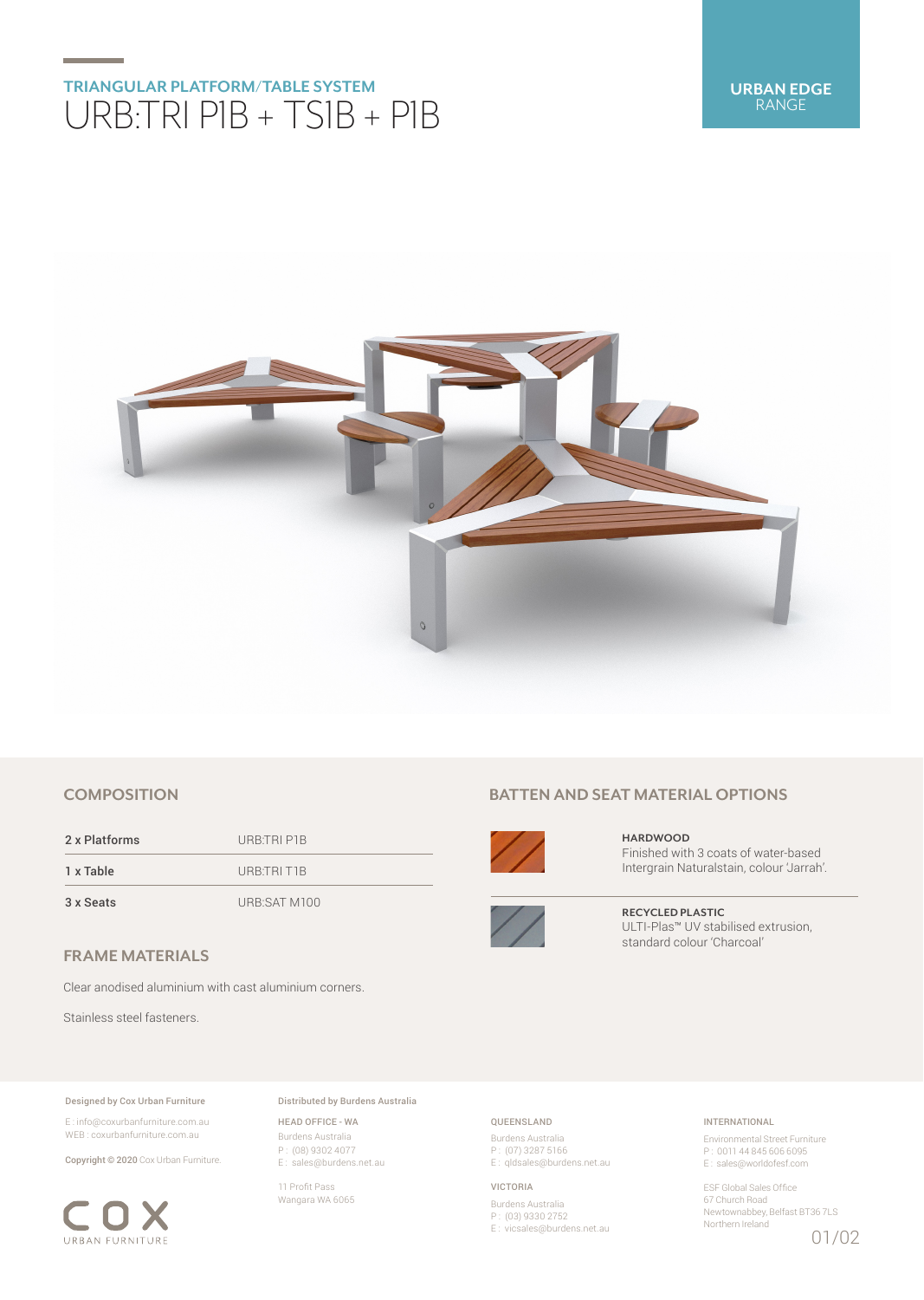# **TRIANGULAR PLATFORM/TABLE SYSTEM** URB:TRI P1B + TS1B + P1B



## **COMPOSITION**

2 x Platforms URB:TRI P1B 1 x Table URB:TRI T1B

3 x Seats URB:SAT M100

## **FRAME MATERIALS**

Clear anodised aluminium with cast aluminium corners.

Stainless steel fasteners.

#### Designed by Cox Urban Furniture

E : info@coxurbanfurniture.com.au WEB : coxurbanfurniture.com.au

Copyright © 2020 Cox Urban Furniture.



Distributed by Burdens Australia

HEAD OFFICE - WA Burdens Australia P : (08) 9302 4077 E : sales@burdens.net.au

11 Profit Pass Wangara WA 6065

# **BATTEN AND SEAT MATERIAL OPTIONS**



**HARDWOOD** Finished with 3 coats of water-based Intergrain Naturalstain, colour 'Jarrah'.



**RECYCLED PLASTIC** ULTI-Plas™ UV stabilised extrusion, standard colour 'Charcoal'

### QUEENSLAND

Burdens Australia P : (07) 3287 5166 E : qldsales@burdens.net.au

#### VICTORIA

Burdens Australia P : (03) 9330 2752 E : vicsales@burdens.net.au

### INTERNATIONAL

Environmental Street Furniture P : 0011 44 845 606 6095 E : sales@worldofesf.com

ESF Global Sales Office 67 Church Road Newtownabbey, Belfast BT36 7LS Northern Ireland

01/02